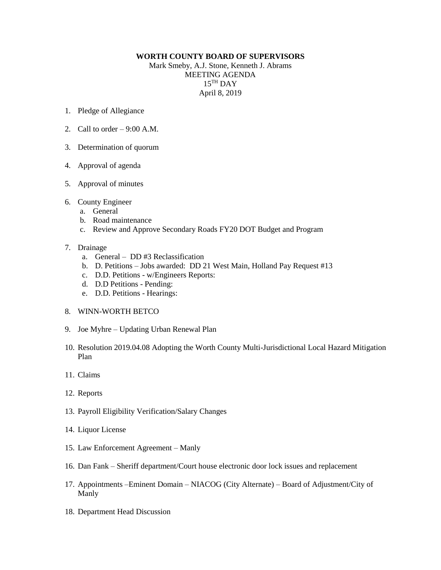## **WORTH COUNTY BOARD OF SUPERVISORS**

Mark Smeby, A.J. Stone, Kenneth J. Abrams MEETING AGENDA 15 TH DAY April 8, 2019

- 1. Pledge of Allegiance
- 2. Call to order  $-9:00$  A.M.
- 3. Determination of quorum
- 4. Approval of agenda
- 5. Approval of minutes
- 6. County Engineer
	- a. General
	- b. Road maintenance
	- c. Review and Approve Secondary Roads FY20 DOT Budget and Program

## 7. Drainage

- a. General DD #3 Reclassification
- b. D. Petitions Jobs awarded: DD 21 West Main, Holland Pay Request #13
- c. D.D. Petitions w/Engineers Reports:
- d. D.D Petitions Pending:
- e. D.D. Petitions Hearings:
- 8. WINN-WORTH BETCO
- 9. Joe Myhre Updating Urban Renewal Plan
- 10. Resolution 2019.04.08 Adopting the Worth County Multi-Jurisdictional Local Hazard Mitigation Plan
- 11. Claims
- 12. Reports
- 13. Payroll Eligibility Verification/Salary Changes
- 14. Liquor License
- 15. Law Enforcement Agreement Manly
- 16. Dan Fank Sheriff department/Court house electronic door lock issues and replacement
- 17. Appointments –Eminent Domain NIACOG (City Alternate) Board of Adjustment/City of Manly
- 18. Department Head Discussion